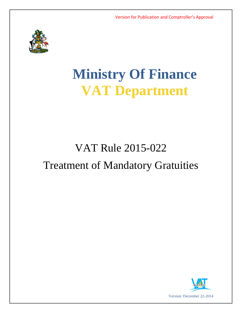

# **Ministry Of Finance VAT Department**

# VAT Rule 2015-022 Treatment of Mandatory Gratuities

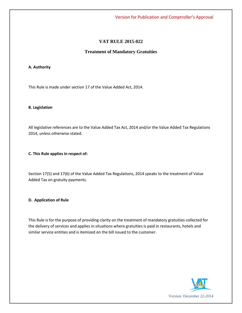Version for Publication and Comptroller's Approval

## **VAT RULE 2015-022**

### **Treatment of Mandatory Gratuities**

#### **A. Authority**

This Rule is made under section 17 of the Value Added Act, 2014.

#### **B. Legislation**

All legislative references are to the Value Added Tax Act, 2014 and/or the Value Added Tax Regulations 2014, unless otherwise stated.

#### **C. This Rule applies in respect of:**

Section 17(5) and 17(6) of the Value Added Tax Regulations, 2014 speaks to the treatment of Value Added Tax on gratuity payments.

#### **D. Application of Rule**

This Rule is for the purpose of providing clarity on the treatment of mandatory gratuities collected for the delivery of services and applies in situations where gratuities is paid in restaurants, hotels and similar service entities and is itemized on the bill issued to the customer.